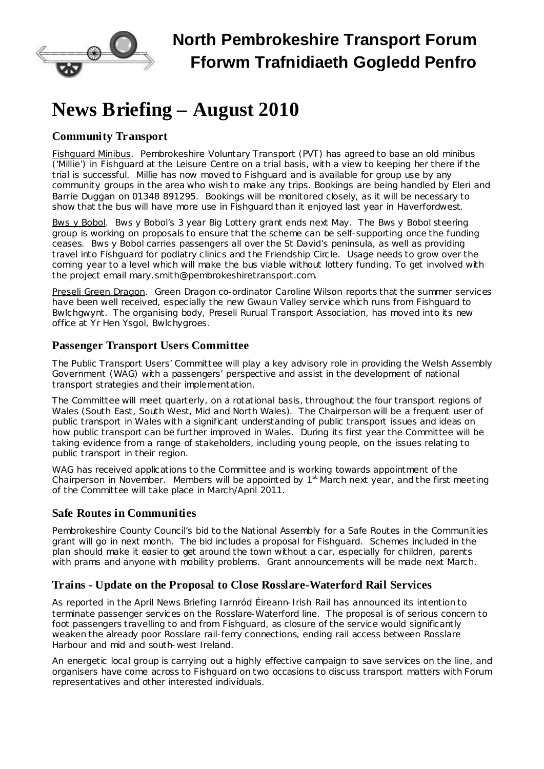

# **North Pembrokeshire Transport Forum Fforwm Trafnidiaeth Gogledd Penfro**

# **News Briefing – August 2010**

## **Community Transport**

Fishguard Minibus. Pembrokeshire Voluntary Transport (PVT) has agreed to base an old minibus ('Millie') in Fishguard at the Leisure Centre on a trial basis, with a view to keeping her there if the trial is successful. Millie has now moved to Fishguard and is available for group use by any community groups in the area who wish to make any trips. Bookings are being handled by Eleri and Barrie Duggan on 01348 891295. Bookings will be monitored closely, as it will be necessary to show that the bus will have more use in Fishguard than it enjoyed last year in Haverfordwest.

Bws y Bobol. Bws y Bobol's 3 year Big Lottery grant ends next May. The Bws y Bobol steering group is working on proposals to ensure that the scheme can be self-supporting once the funding ceases. Bws y Bobol carries passengers all over the St David's peninsula, as well as providing travel into Fishguard for podiatry clinics and the Friendship Circle. Usage needs to grow over the coming year to a level which will make the bus viable without lottery funding. To get involved with the project email [mary.smith@pembrokeshiretransport.com.](mailto:mary.smith@pembrokeshiretransport.com)

Preseli Green Dragon. Green Dragon co-ordinator Caroline Wilson reports that the summer services have been well received, especially the new Gwaun Valley service which runs from Fishguard to Bwlchgwynt. The organising body, Preseli Rurual Transport Association, has moved into its new office at Yr Hen Ysgol, Bwlchygroes.

### **Passenger Transport Users Committee**

The Public Transport Users' Committee will play a key advisory role in providing the Welsh Assembly Government (WAG) with a passengers' perspective and assist in the development of national transport strategies and their implementation.

The Committee will meet quarterly, on a rotational basis, throughout the four transport regions of Wales (South East, South West, Mid and North Wales). The Chairperson will be a frequent user of public transport in Wales with a significant understanding of public transport issues and ideas on how public transport can be further improved in Wales. During its first year the Committee will be taking evidence from a range of stakeholders, including young people, on the issues relating to public transport in their region.

WAG has received applications to the Committee and is working towards appointment of the Chairperson in November. Members will be appointed by 1<sup>st</sup> March next year, and the first meeting of the Committee will take place in March/April 2011.

#### **Safe Routes in Communities**

Pembrokeshire County Council's bid to the National Assembly for a Safe Routes in the Communities grant will go in next month. The bid includes a proposal for Fishguard. Schemes included in the plan should make it easier to get around the town without a car, especially for children, parents with prams and anyone with mobility problems. Grant announcements will be made next March.

### **Trains - Update on the Proposal to Close Rosslare-Waterford Rail Services**

As reported in the April News Briefing Iarnród Éireann-Irish Rail has announced its intention to terminate passenger services on the Rosslare-Waterford line. The proposal is of serious concern to foot passengers travelling to and from Fishguard, as closure of the service would significantly weaken the already poor Rosslare rail-ferry connections, ending rail access between Rosslare Harbour and mid and south-west Ireland.

An energetic local group is carrying out a highly effective campaign to save services on the line, and organisers have come across to Fishguard on two occasions to discuss transport matters with Forum representatives and other interested individuals.